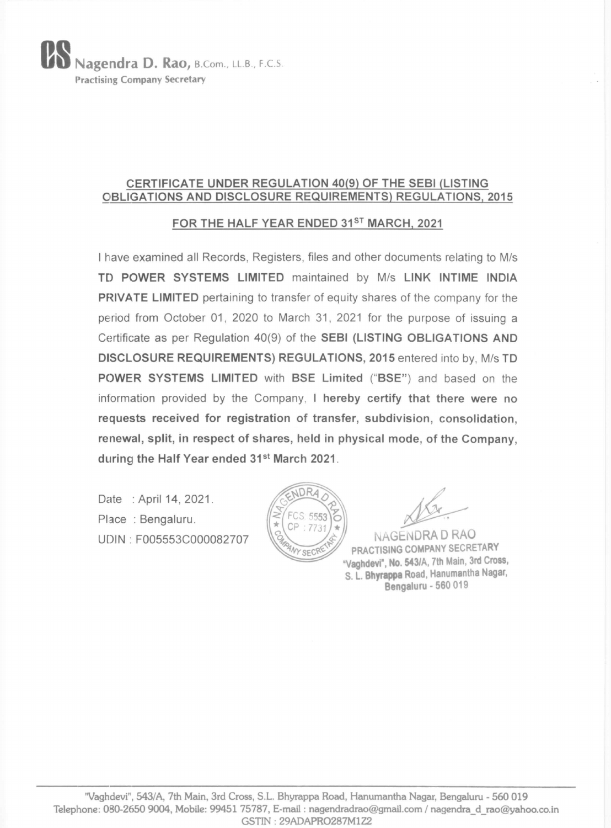## UU Nagendra D. Rao, B.Com., LL.B., F.C.S. Practising Company Secretary

#### CERTIFICATE UNDER REGULATION 40(9) OF THE SEBI (LISTING OBLIGATIONS AND DISCLOSURE REQUIREMENTS) REGULATIONS, 2015

### FOR THE HALF YEAR ENDED 31<sup>ST</sup> MARCH, 2021

renewal, split, in respect of shares, held in physical mode, of the Company, during the Half Year ended 31<sup>st</sup> March 2021.

Date : April 14, 2021.

| have examined all Records, Registers, files and other documents relating to M/s TD POWER SYSTEMS LIMITED maintained by M/s LINK INTIME INDIA PRIVATE LIMITED pertaining to transfer of equity shares of the company for the period from October 01, 2020 to March 31, 2021 for the purpose of issuing a Certificate as per Regulation 40(9) of the SEBI (LISTING OBLIGATIONS AND DISCLOSURE REQUIREMENTS) REGULATIONS, 2015 entered into by, M/s TD POWER SYSTEMS LIMITED with BSE Limited ("BSE") and based on the information provided by the Company, I hereby certify that there were no requests received for registration of transfer, subdivision, consolidation,

(th Main, 3rd Cross, S.L. Bhyrap)<br>Mobile: 99451 75787, E-mail :<br>GSTIN : 29AD/ "Vaghdevi", 543/A, 7th Main, 3rd Cross, S.L. Bhyrappa Road, Hanumantha Nagar, Bengaluru - 560 019 Telephone: 080-2650 9004, Mobile: 99451 75787, E-mail : nagendradrao@gmail.com / nagendra\_d\_rao@yahoo.co.in GSTIN : 29ADAPRO287M1Z2

NAGENDRA D RAO PRACTISING COMPANY SECRETARY "Vaghdevi", No. 543/A, 7th Main, 3rd Cross, S. L. Bhyrappa Road, Hanumantha Nagar, Bengaluru - 560 019

 $\mathcal A$ 

Place : Bengaluru.

UDIN : F005553C000082707